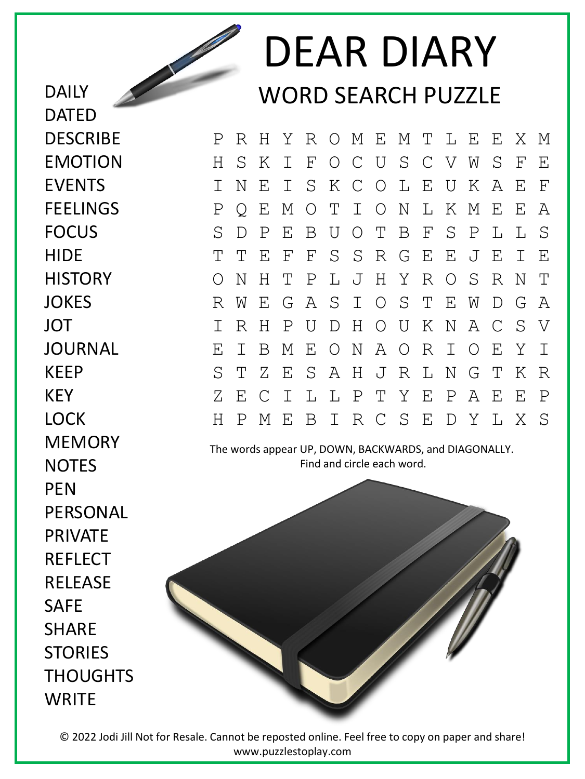DEAR DIARY WORD SEARCH PUZZLE

P R H Y R O M E M T L E E X M H S K I F O C U S C V W S F E I N E I S K C O L E U K A E F P Q E M O T I O N L K M E E A S D P E B U O T B F S P L L S T T E F F S S R G E E J E I E O N H T P L J H Y R O S R N T R W E G A S I O S T E W D G A I R H P U D H O U K N A C S V E I B M E O N A O R I O E Y I S T Z E S A H J R L N G T K R Z E C I L L P T Y E P A E E P H P M E B I R C S E D Y L X S

The words appear UP, DOWN, BACKWARDS, and DIAGONALLY. Find and circle each word.



**JOKES** JOT JOURNAL KEEP KEY LOCK **MEMORY NOTES PFN** PERSONAL PRIVATE **REFLECT RFLFASF** SAFE **SHARE STORIES** THOUGHTS **WRITE** 

DAILY

DATED

**DESCRIBE** 

EMOTION

**FFFLINGS** 

EVENTS

FOCUS

**HISTORY** 

**HIDE** 

© 2022 Jodi Jill Not for Resale. Cannot be reposted online. Feel free to copy on paper and share! www.puzzlestoplay.com